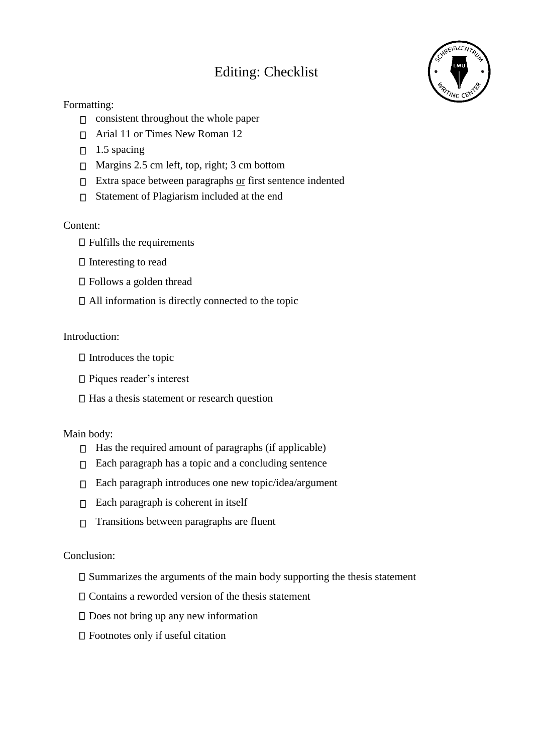# Editing: Checklist



## Formatting:

- $\Box$  consistent throughout the whole paper
- Arial 11 or Times New Roman 12
- $\Box$  1.5 spacing
- □ Margins 2.5 cm left, top, right; 3 cm bottom
- $\Box$  Extra space between paragraphs or first sentence indented
- Statement of Plagiarism included at the end

### Content:

- $\Box$  Fulfills the requirements
- $\Box$  Interesting to read
- □ Follows a golden thread
- All information is directly connected to the topic

#### Introduction:

- $\Box$  Introduces the topic
- □ Piques reader's interest
- $\Box$  Has a thesis statement or research question

#### Main body:

- $\Box$  Has the required amount of paragraphs (if applicable)
- $\Box$  Each paragraph has a topic and a concluding sentence
- $\Box$  Each paragraph introduces one new topic/idea/argument
- $\Box$  Each paragraph is coherent in itself
- $\Box$  Transitions between paragraphs are fluent

#### Conclusion:

- $\square$  Summarizes the arguments of the main body supporting the thesis statement
- Contains a reworded version of the thesis statement
- $\square$  Does not bring up any new information
- Footnotes only if useful citation